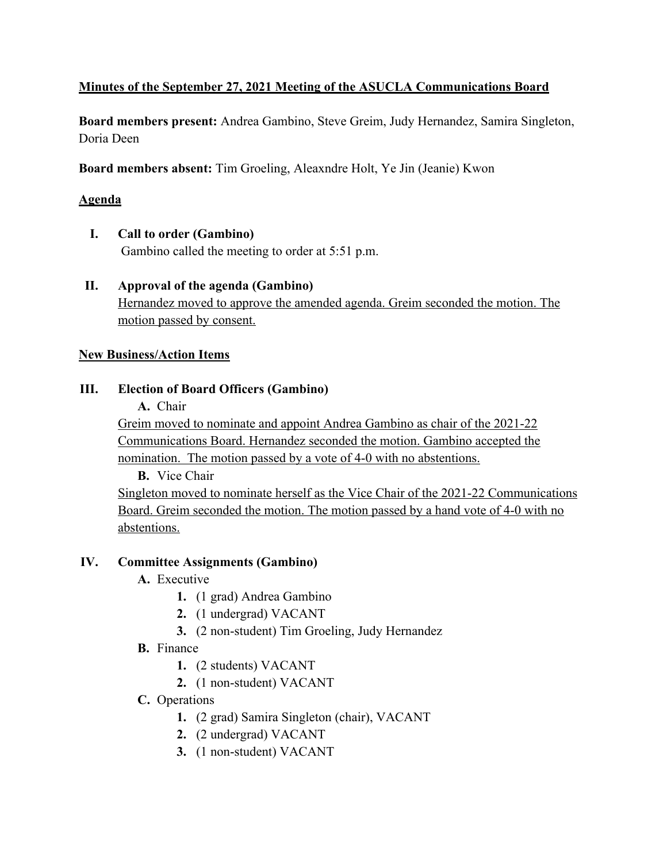## **Minutes of the September 27, 2021 Meeting of the ASUCLA Communications Board**

**Board members present:** Andrea Gambino, Steve Greim, Judy Hernandez, Samira Singleton, Doria Deen

**Board members absent:** Tim Groeling, Aleaxndre Holt, Ye Jin (Jeanie) Kwon

## **Agenda**

**I. Call to order (Gambino)**

Gambino called the meeting to order at 5:51 p.m.

**II. Approval of the agenda (Gambino)** Hernandez moved to approve the amended agenda. Greim seconded the motion. The motion passed by consent.

#### **New Business/Action Items**

## **III. Election of Board Officers (Gambino)**

**A.** Chair

Greim moved to nominate and appoint Andrea Gambino as chair of the 2021-22 Communications Board. Hernandez seconded the motion. Gambino accepted the nomination. The motion passed by a vote of 4-0 with no abstentions.

**B.** Vice Chair

Singleton moved to nominate herself as the Vice Chair of the 2021-22 Communications Board. Greim seconded the motion. The motion passed by a hand vote of 4-0 with no abstentions.

#### **IV. Committee Assignments (Gambino)**

- **A.** Executive
	- **1.** (1 grad) Andrea Gambino
	- **2.** (1 undergrad) VACANT
	- **3.** (2 non-student) Tim Groeling, Judy Hernandez
- **B.** Finance
	- **1.** (2 students) VACANT
	- **2.** (1 non-student) VACANT
- **C.** Operations
	- **1.** (2 grad) Samira Singleton (chair), VACANT
	- **2.** (2 undergrad) VACANT
	- **3.** (1 non-student) VACANT